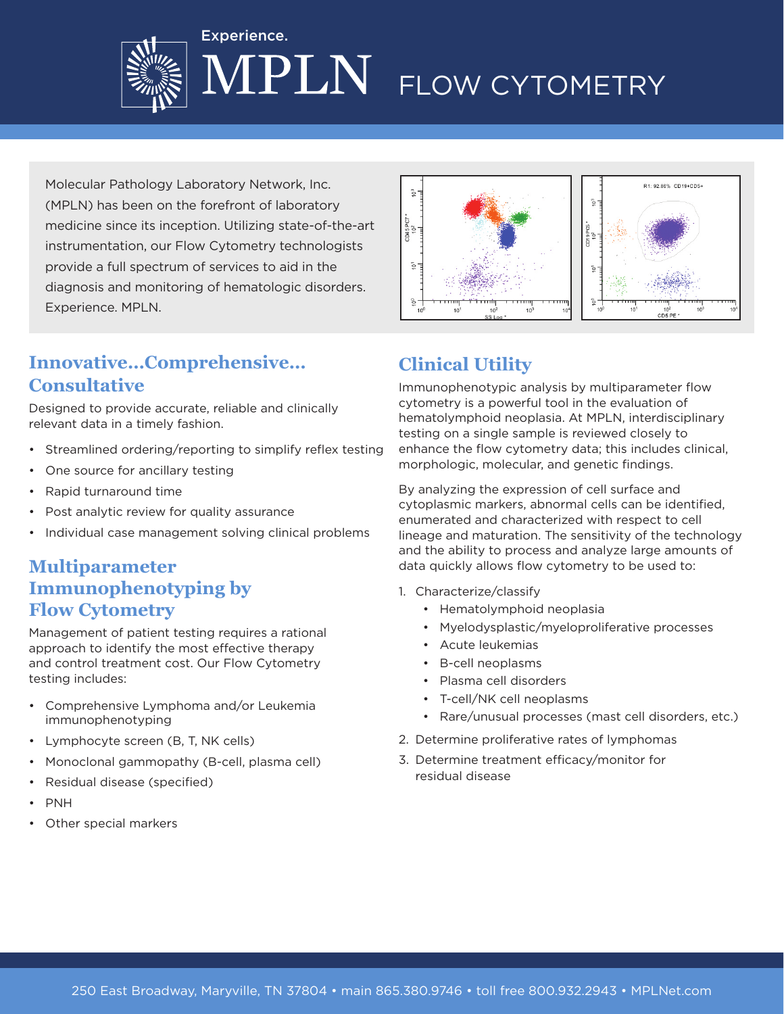

# PLN FLOW CYTOMETRY

Molecular Pathology Laboratory Network, Inc. (MPLN) has been on the forefront of laboratory medicine since its inception. Utilizing state-of-the-art instrumentation, our Flow Cytometry technologists provide a full spectrum of services to aid in the diagnosis and monitoring of hematologic disorders. Experience. MPLN.

Experience.



# **Innovative…Comprehensive… Consultative**

Designed to provide accurate, reliable and clinically relevant data in a timely fashion.

- Streamlined ordering/reporting to simplify reflex testing
- One source for ancillary testing
- Rapid turnaround time
- Post analytic review for quality assurance
- Individual case management solving clinical problems

## **Multiparameter Immunophenotyping by Flow Cytometry**

Management of patient testing requires a rational approach to identify the most effective therapy and control treatment cost. Our Flow Cytometry testing includes:

- Comprehensive Lymphoma and/or Leukemia immunophenotyping
- Lymphocyte screen (B, T, NK cells)
- Monoclonal gammopathy (B-cell, plasma cell)
- Residual disease (specified)
- PNH
- Other special markers

# **Clinical Utility**

Immunophenotypic analysis by multiparameter flow cytometry is a powerful tool in the evaluation of hematolymphoid neoplasia. At MPLN, interdisciplinary testing on a single sample is reviewed closely to enhance the flow cytometry data; this includes clinical, morphologic, molecular, and genetic findings.

By analyzing the expression of cell surface and cytoplasmic markers, abnormal cells can be identified, enumerated and characterized with respect to cell lineage and maturation. The sensitivity of the technology and the ability to process and analyze large amounts of data quickly allows flow cytometry to be used to:

- 1. Characterize/classify
	- Hematolymphoid neoplasia
	- Myelodysplastic/myeloproliferative processes
	- Acute leukemias
	- B-cell neoplasms
	- Plasma cell disorders
	- T-cell/NK cell neoplasms
	- Rare/unusual processes (mast cell disorders, etc.)
- 2. Determine proliferative rates of lymphomas
- 3. Determine treatment efficacy/monitor for residual disease